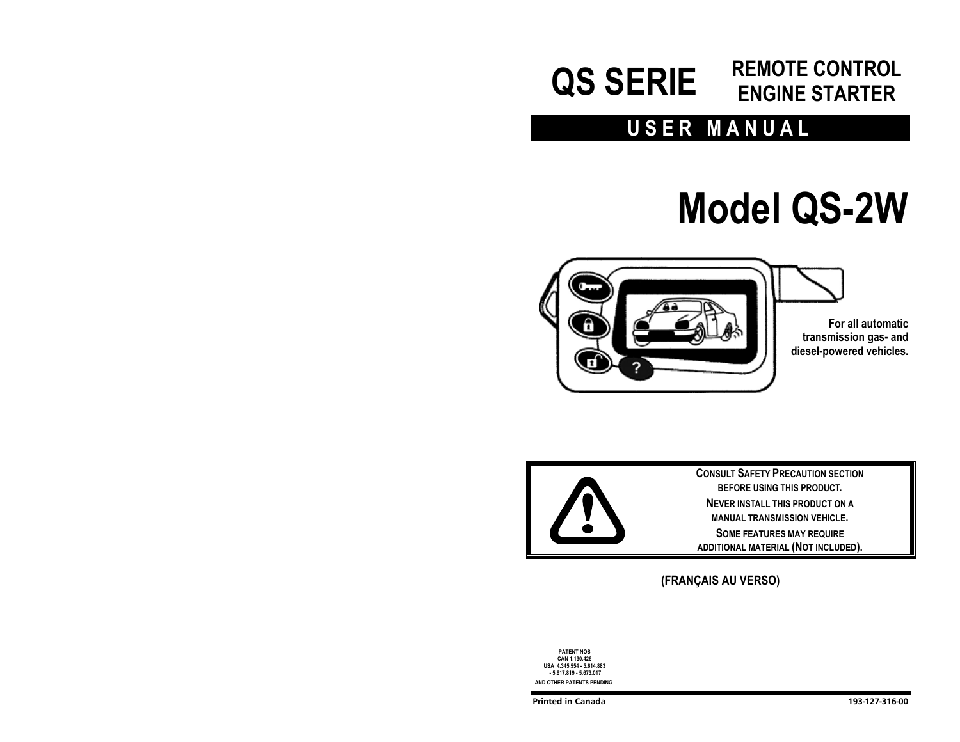# **QS SERIE REMOTE CONTROL ENGINE STARTER**

# **USER MANUAL**

# **Model QS-2W**





## **(FRANÇAIS AU VERSO)**

**PATENT NOS CAN 1.130.426 USA 4.345.554 - 5.614.883 - 5.617.819 - 5.673.017 AND OTHER PATENTS PENDING**

**Printed in Canada 193-127-316-00**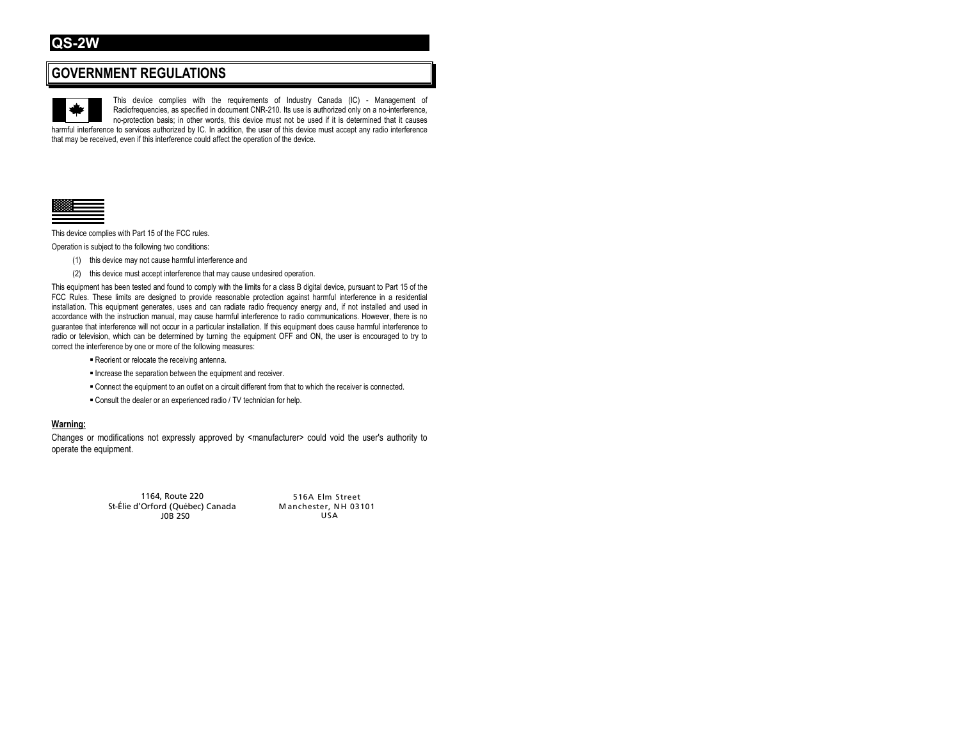## **GOVERNMENT REGULATIONS**

This device complies with the requirements of Industry Canada (IC) - Management of Radiofrequencies, as specified in document CNR-210. Its use is authorized only on a no-interference, no-protection basis; in other words, this device must not be used if it is determined that it causes harmful interference to services authorized by IC. In addition, the user of this device must accept any radio interference that may be received, even if this interference could affect the operation of the device.



This device complies with Part 15 of the FCC rules.

Operation is subject to the following two conditions:

- (1) this device may not cause harmful interference and
- (2) this device must accept interference that may cause undesired operation.

This equipment has been tested and found to comply with the limits for a class B digital device, pursuant to Part 15 of the FCC Rules. These limits are designed to provide reasonable protection against harmful interference in a residential installation. This equipment generates, uses and can radiate radio frequency energy and, if not installed and used in accordance with the instruction manual, may cause harmful interference to radio communications. However, there is no guarantee that interference will not occur in a particular installation. If this equipment does cause harmful interference to radio or television, which can be determined by turning the equipment OFF and ON, the user is encouraged to try to correct the interference by one or more of the following measures:

- Reorient or relocate the receiving antenna.
- **Increase the separation between the equipment and receiver.**
- Connect the equipment to an outlet on a circuit different from that to which the receiver is connected.
- Consult the dealer or an experienced radio / TV technician for help.

#### **Warning:**

Changes or modifications not expressly approved by <manufacturer> could void the user's authority to operate the equipment.

> 1164, Route 220 St-Élie d'Orford (Québec) Canada J0B 2S0

516A Elm Street Manchester, NH 03101 USA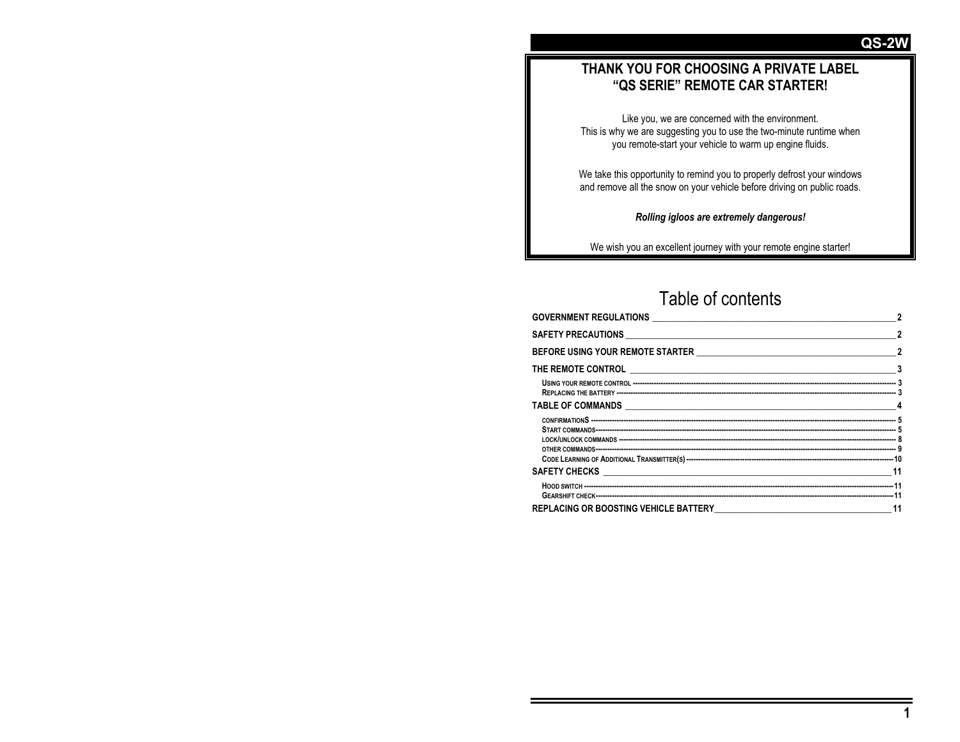## **THANK YOU FOR CHOOSING A PRIVATE LABEL "QS SERIE" REMOTE CAR STARTER!**

Like you, we are concerned with the environment. This is why we are suggesting you to use the two-minute runtime when you remote-start your vehicle to warm up engine fluids.

We take this opportunity to remind you to properly defrost your windows and remove all the snow on your vehicle before driving on public roads.

*Rolling igloos are extremely dangerous!* 

We wish you an excellent journey with your remote engine starter!

# Table of contents

| $\sim$ 2 |  |
|----------|--|
|          |  |
|          |  |
|          |  |
|          |  |
|          |  |
|          |  |
|          |  |
|          |  |
|          |  |

**QS-2**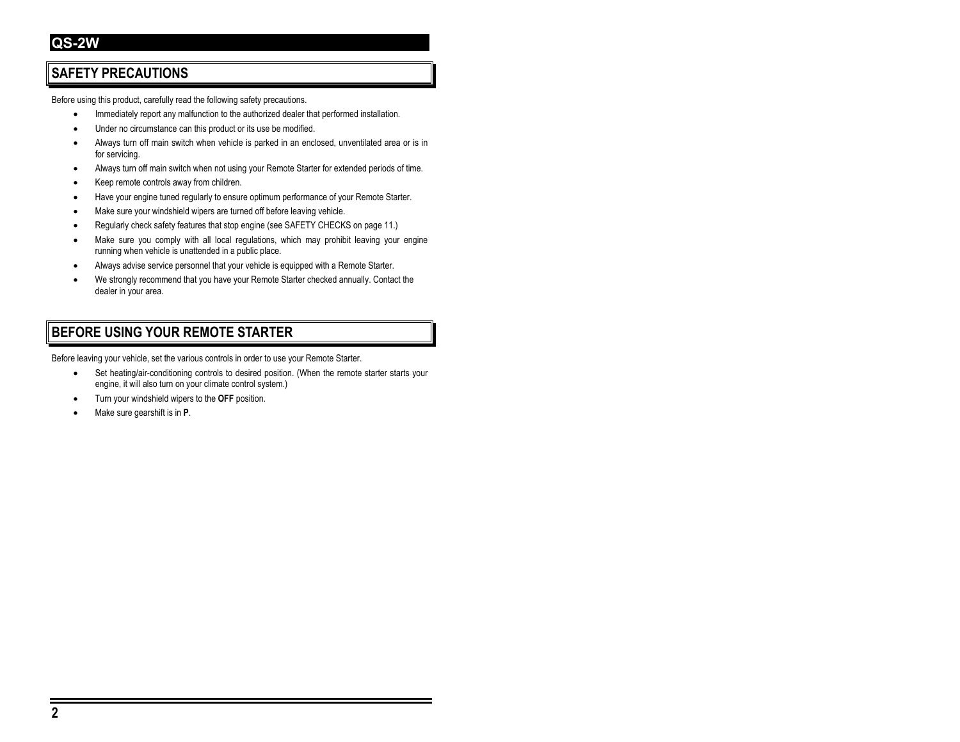## **SAFETY PRECAUTIONS**

Before using this product, carefully read the following safety precautions.

- Immediately report any malfunction to the authorized dealer that performed installation.
- Under no circumstance can this product or its use be modified.
- Always turn off main switch when vehicle is parked in an enclosed, unventilated area or is in for servicing.
- Always turn off main switch when not using your Remote Starter for extended periods of time.
- Keep remote controls away from children.
- Have your engine tuned regularly to ensure optimum performance of your Remote Starter.
- Make sure your windshield wipers are turned off before leaving vehicle.
- Regularly check safety features that stop engine (see SAFETY CHECKS on page 11.)
- Make sure you comply with all local regulations, which may prohibit leaving your engine running when vehicle is unattended in a public place.
- Always advise service personnel that your vehicle is equipped with a Remote Starter.
- We strongly recommend that you have your Remote Starter checked annually. Contact the dealer in your area.

## **BEFORE USING YOUR REMOTE STARTER**

Before leaving your vehicle, set the various controls in order to use your Remote Starter.

- Set heating/air-conditioning controls to desired position. (When the remote starter starts your engine, it will also turn on your climate control system.)
- Turn your windshield wipers to the **OFF** position.
- Make sure gearshift is in **P**.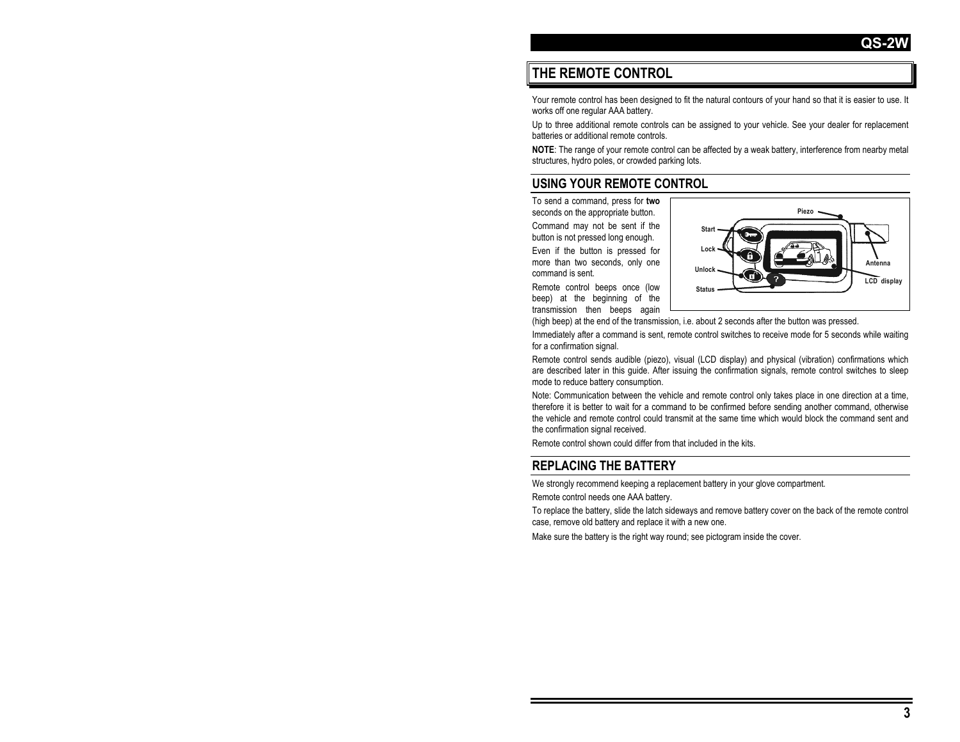## **THE REMOTE CONTROL**

Your remote control has been designed to fit the natural contours of your hand so that it is easier to use. It works off one regular AAA battery.

Up to three additional remote controls can be assigned to your vehicle. See your dealer for replacement batteries or additional remote controls.

**NOTE**: The range of your remote control can be affected by a weak battery, interference from nearby metal structures, hydro poles, or crowded parking lots.

## **USING YOUR REMOTE CONTROL**

To send a command, press for **two** seconds on the appropriate button.

Command may not be sent if the button is not pressed long enough.

Even if the button is pressed for more than two seconds, only one command is sent.

Remote control beeps once (low beep) at the beginning of the transmission then beeps again



(high beep) at the end of the transmission, i.e. about 2 seconds after the button was pressed.

Immediately after a command is sent, remote control switches to receive mode for 5 seconds while waiting for a confirmation signal.

Remote control sends audible (piezo), visual (LCD display) and physical (vibration) confirmations which are described later in this guide. After issuing the confirmation signals, remote control switches to sleep mode to reduce battery consumption.

Note: Communication between the vehicle and remote control only takes place in one direction at a time, therefore it is better to wait for a command to be confirmed before sending another command, otherwise the vehicle and remote control could transmit at the same time which would block the command sent and the confirmation signal received.

Remote control shown could differ from that included in the kits.

## **REPLACING THE BATTERY**

We strongly recommend keeping a replacement battery in your glove compartment.

Remote control needs one AAA battery.

To replace the battery, slide the latch sideways and remove battery cover on the back of the remote control case, remove old battery and replace it with a new one.

Make sure the battery is the right way round; see pictogram inside the cover.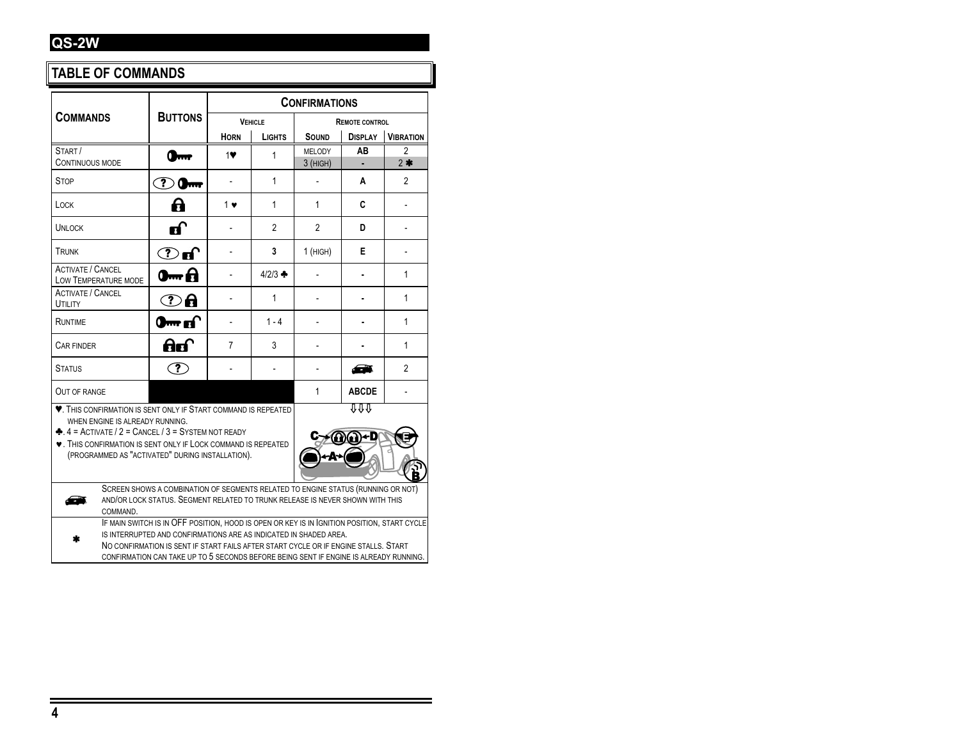## **TABLE OF COMMANDS**

|                                                                                                                                                                                                                                                                                                               |                                                                                                                                                                                                                                                                                                                                                  |             |                     | <b>CONFIRMATIONS</b> |                       |                  |  |  |  |  |
|---------------------------------------------------------------------------------------------------------------------------------------------------------------------------------------------------------------------------------------------------------------------------------------------------------------|--------------------------------------------------------------------------------------------------------------------------------------------------------------------------------------------------------------------------------------------------------------------------------------------------------------------------------------------------|-------------|---------------------|----------------------|-----------------------|------------------|--|--|--|--|
| <b>COMMANDS</b>                                                                                                                                                                                                                                                                                               | <b>BUTTONS</b>                                                                                                                                                                                                                                                                                                                                   |             | <b>VEHICLE</b>      |                      | <b>REMOTE CONTROL</b> |                  |  |  |  |  |
|                                                                                                                                                                                                                                                                                                               |                                                                                                                                                                                                                                                                                                                                                  | <b>HORN</b> | <b>LIGHTS</b>       | SOUND                | <b>DISPLAY</b>        | <b>VIBRATION</b> |  |  |  |  |
| START/<br><b>CONTINUOUS MODE</b>                                                                                                                                                                                                                                                                              |                                                                                                                                                                                                                                                                                                                                                  | 1           | 1                   | MELODY<br>$3$ (HIGH) | AB                    | 2<br>$2*$        |  |  |  |  |
| <b>STOP</b>                                                                                                                                                                                                                                                                                                   | $\mathbf{?}$<br>$0 -$                                                                                                                                                                                                                                                                                                                            |             | 1                   |                      | A                     | 2                |  |  |  |  |
| LOCK                                                                                                                                                                                                                                                                                                          | 8                                                                                                                                                                                                                                                                                                                                                | 1 ♥         | 1                   | 1                    | C                     |                  |  |  |  |  |
| <b>UNLOCK</b>                                                                                                                                                                                                                                                                                                 | மி                                                                                                                                                                                                                                                                                                                                               |             | $\overline{2}$      | $\overline{2}$       | D                     |                  |  |  |  |  |
| TRUNK                                                                                                                                                                                                                                                                                                         | $\bf{C}$ of                                                                                                                                                                                                                                                                                                                                      |             | 3                   | $1$ (HIGH)           | Е                     |                  |  |  |  |  |
| <b>ACTIVATE / CANCEL</b><br>LOW TEMPERATURE MODE                                                                                                                                                                                                                                                              | 0m A                                                                                                                                                                                                                                                                                                                                             |             | $4/2/3$ $\clubsuit$ |                      |                       | 1                |  |  |  |  |
| <b>ACTIVATE / CANCEL</b><br>UTILITY                                                                                                                                                                                                                                                                           | $\bigcirc$ a                                                                                                                                                                                                                                                                                                                                     |             | 1                   |                      |                       | 1                |  |  |  |  |
| RUNTIME                                                                                                                                                                                                                                                                                                       | 0 <del>м</del> п                                                                                                                                                                                                                                                                                                                                 |             | $1 - 4$             |                      |                       | 1                |  |  |  |  |
| CAR FINDER                                                                                                                                                                                                                                                                                                    | ਰ ਹ<br>3<br>7<br>1                                                                                                                                                                                                                                                                                                                               |             |                     |                      |                       |                  |  |  |  |  |
| <b>STATUS</b>                                                                                                                                                                                                                                                                                                 | (?)                                                                                                                                                                                                                                                                                                                                              |             |                     |                      |                       | $\overline{2}$   |  |  |  |  |
| OUT OF RANGE                                                                                                                                                                                                                                                                                                  |                                                                                                                                                                                                                                                                                                                                                  |             |                     | $\mathbf{1}$         | <b>ABCDE</b>          |                  |  |  |  |  |
| ննն<br><b>V.</b> THIS CONFIRMATION IS SENT ONLY IF START COMMAND IS REPEATED<br>WHEN ENGINE IS ALREADY RUNNING.<br>$\triangle$ , 4 = ACTIVATE / 2 = CANCEL / 3 = SYSTEM NOT READY<br><b>V.</b> THIS CONFIRMATION IS SENT ONLY IF LOCK COMMAND IS REPEATED<br>(PROGRAMMED AS "ACTIVATED" DURING INSTALLATION). |                                                                                                                                                                                                                                                                                                                                                  |             |                     |                      |                       |                  |  |  |  |  |
| SCREEN SHOWS A COMBINATION OF SEGMENTS RELATED TO ENGINE STATUS (RUNNING OR NOT)<br>AND/OR LOCK STATUS. SEGMENT RELATED TO TRUNK RELEASE IS NEVER SHOWN WITH THIS<br>COMMAND.                                                                                                                                 |                                                                                                                                                                                                                                                                                                                                                  |             |                     |                      |                       |                  |  |  |  |  |
|                                                                                                                                                                                                                                                                                                               | IF MAIN SWITCH IS IN OFF POSITION, HOOD IS OPEN OR KEY IS IN IGNITION POSITION, START CYCLE<br>IS INTERRUPTED AND CONFIRMATIONS ARE AS INDICATED IN SHADED AREA.<br>NO CONFIRMATION IS SENT IF START FAILS AFTER START CYCLE OR IF ENGINE STALLS. START<br>CONFIRMATION CAN TAKE UP TO 5 SECONDS BEFORE BEING SENT IF ENGINE IS ALREADY RUNNING. |             |                     |                      |                       |                  |  |  |  |  |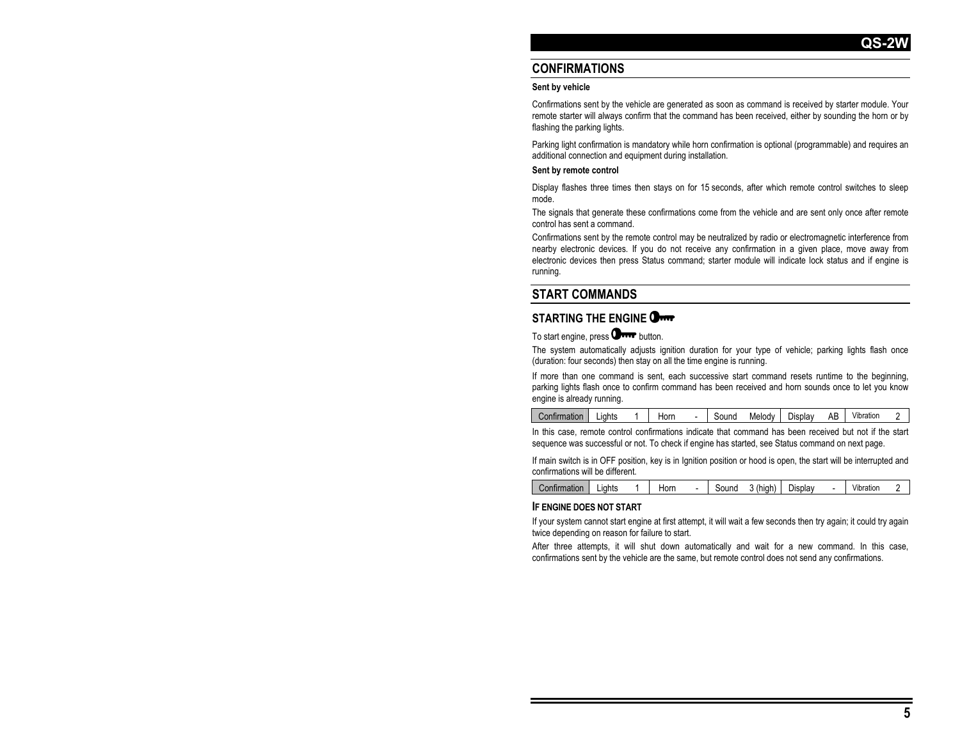### **CONFIRMATIONS**

#### **Sent by vehicle**

Confirmations sent by the vehicle are generated as soon as command is received by starter module. Your remote starter will always confirm that the command has been received, either by sounding the horn or by flashing the parking lights.

Parking light confirmation is mandatory while horn confirmation is optional (programmable) and requires an additional connection and equipment during installation.

#### **Sent by remote control**

Display flashes three times then stays on for 15 seconds, after which remote control switches to sleep mode.

The signals that generate these confirmations come from the vehicle and are sent only once after remote control has sent a command.

Confirmations sent by the remote control may be neutralized by radio or electromagnetic interference from nearby electronic devices. If you do not receive any confirmation in a given place, move away from electronic devices then press Status command; starter module will indicate lock status and if engine is running.

#### **START COMMANDS**

#### **STARTING THE ENGINE**

To start engine, press **Orre** button.

The system automatically adjusts ignition duration for your type of vehicle; parking lights flash once (duration: four seconds) then stay on all the time engine is running.

If more than one command is sent, each successive start command resets runtime to the beginning, parking lights flash once to confirm command has been received and horn sounds once to let you know engine is already running.

| Confirmation | ∟iahts | Horn | Sound | Melody | Display | AB | $\cdots$<br>Vibration |  |
|--------------|--------|------|-------|--------|---------|----|-----------------------|--|
|              |        |      |       |        |         |    |                       |  |

In this case, remote control confirmations indicate that command has been received but not if the start sequence was successful or not. To check if engine has started, see Status command on next page.

If main switch is in OFF position, key is in Ignition position or hood is open, the start will be interrupted and confirmations will be different.

| onth.<br>ırmatıon | .iahts | Horn | Sound | high). | <b>Display</b> | $\overline{\phantom{a}}$ | $\cdots$<br>Vibration |  |
|-------------------|--------|------|-------|--------|----------------|--------------------------|-----------------------|--|
|                   |        |      |       |        |                |                          |                       |  |

#### **IF ENGINE DOES NOT START**

If your system cannot start engine at first attempt, it will wait a few seconds then try again; it could try again twice depending on reason for failure to start.

After three attempts, it will shut down automatically and wait for a new command. In this case, confirmations sent by the vehicle are the same, but remote control does not send any confirmations.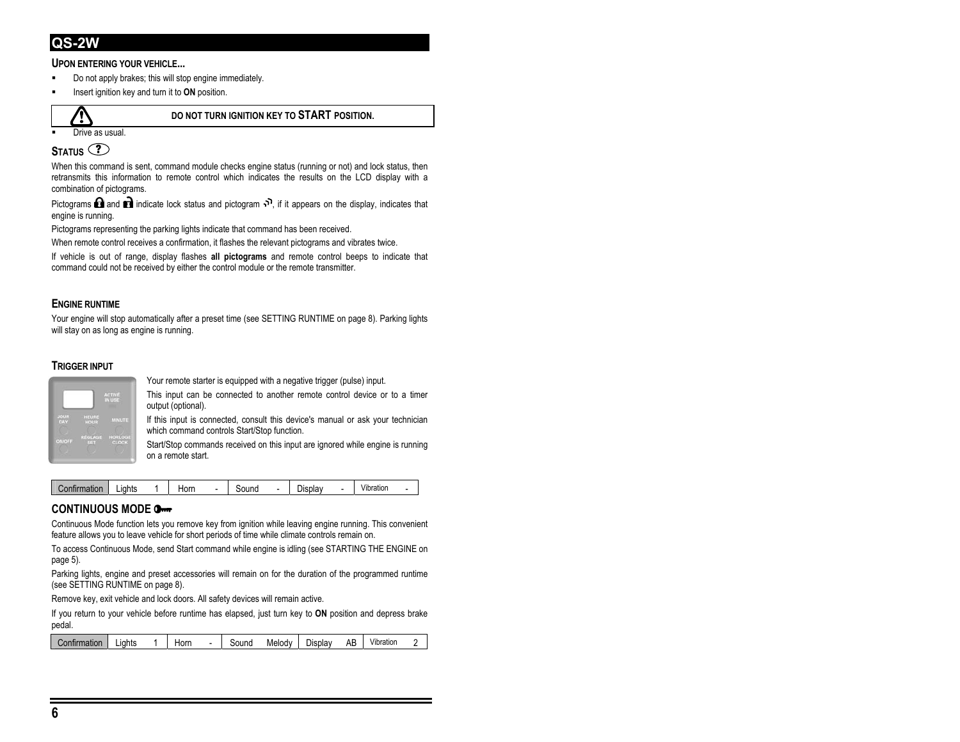#### **UPON ENTERING YOUR VEHICLE...**

- Do not apply brakes; this will stop engine immediately.
- Insert ignition key and turn it to **ON** position.



#### **DO NOT TURN IGNITION KEY TO START POSITION.**

Drive as usual.

## **STATUS** <sup>?</sup>

When this command is sent, command module checks engine status (running or not) and lock status, then retransmits this information to remote control which indicates the results on the LCD display with a combination of pictograms.

Pictograms **and indicate lock status and pictogram**  $\Omega$ , if it appears on the display, indicates that engine is running.

Pictograms representing the parking lights indicate that command has been received.

When remote control receives a confirmation, it flashes the relevant pictograms and vibrates twice.

If vehicle is out of range, display flashes **all pictograms** and remote control beeps to indicate that command could not be received by either the control module or the remote transmitter.

#### **ENGINE RUNTIME**

Your engine will stop automatically after a preset time (see SETTING RUNTIME on page 8). Parking lights will stay on as long as engine is running.

#### **TRIGGER INPUT**



Your remote starter is equipped with a negative trigger (pulse) input.

This input can be connected to another remote control device or to a timer output (optional).

If this input is connected, consult this device's manual or ask your technician which command controls Start/Stop function.

Start/Stop commands received on this input are ignored while engine is running on a remote start.

| mation<br>шш | .iahts | Horn | .<br>puullu | D.<br>Display | Vibration |  |
|--------------|--------|------|-------------|---------------|-----------|--|
|              |        |      |             |               |           |  |

#### **CONTINUOUS MODE**

Continuous Mode function lets you remove key from ignition while leaving engine running. This convenient feature allows you to leave vehicle for short periods of time while climate controls remain on.

To access Continuous Mode, send Start command while engine is idling (see STARTING THE ENGINE on page 5).

Parking lights, engine and preset accessories will remain on for the duration of the programmed runtime (see SETTING RUNTIME on page 8).

Remove key, exit vehicle and lock doors. All safety devices will remain active.

If you return to your vehicle before runtime has elapsed, just turn key to **ON** position and depress brake pedal.

| Confirmation<br>.iahts<br>Horn | Melody<br>Sound | ΔΗ<br>Display<br>ᇺ | $\cdots$<br>Vibration |
|--------------------------------|-----------------|--------------------|-----------------------|
|--------------------------------|-----------------|--------------------|-----------------------|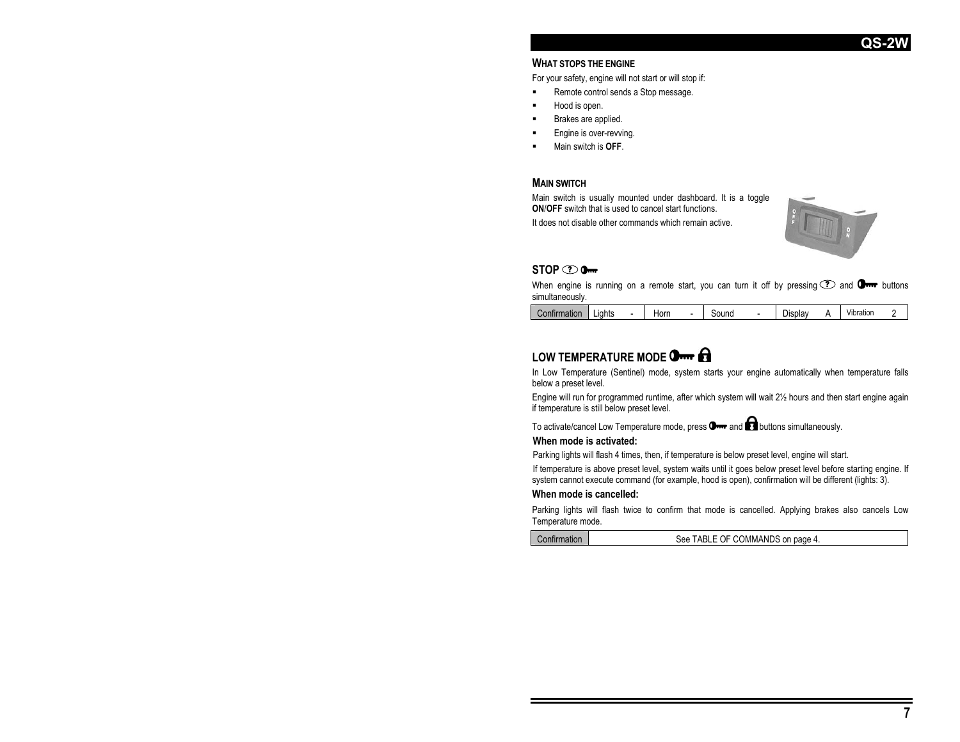#### **WHAT STOPS THE ENGINE**

For your safety, engine will not start or will stop if:

- Remote control sends a Stop message.
- Hood is open.
- Brakes are applied.
- Engine is over-revving.
- Main switch is **OFF**.

#### **MAIN SWITCH**

Main switch is usually mounted under dashboard. It is a toggle **ON**/**OFF** switch that is used to cancel start functions.

It does not disable other commands which remain active.



#### **STOP 2 0-**

When engine is running on a remote start, you can turn it off by pressing  $\odot$  and  $\Box$  buttons simultaneously.

| <b>Confirmation</b> | -iahts | Horn | - | sound | -<br>Jisplav | $\cdots$<br>Vibratior | - |
|---------------------|--------|------|---|-------|--------------|-----------------------|---|
|                     |        |      |   |       |              |                       |   |

## **LOW TEMPERATURE MODE**

In Low Temperature (Sentinel) mode, system starts your engine automatically when temperature falls below a preset level.

Engine will run for programmed runtime, after which system will wait 2½ hours and then start engine again if temperature is still below preset level.

To activate/cancel Low Temperature mode, press  $\mathbf{0}$  and  $\mathbf{\Omega}$  buttons simultaneously.

#### **When mode is activated:**

Parking lights will flash 4 times, then, if temperature is below preset level, engine will start.

If temperature is above preset level, system waits until it goes below preset level before starting engine. If system cannot execute command (for example, hood is open), confirmation will be different (lights: 3).

#### **When mode is cancelled:**

Parking lights will flash twice to confirm that mode is cancelled. Applying brakes also cancels Low Temperature mode.

Confirmation Gee TABLE OF COMMANDS on page 4.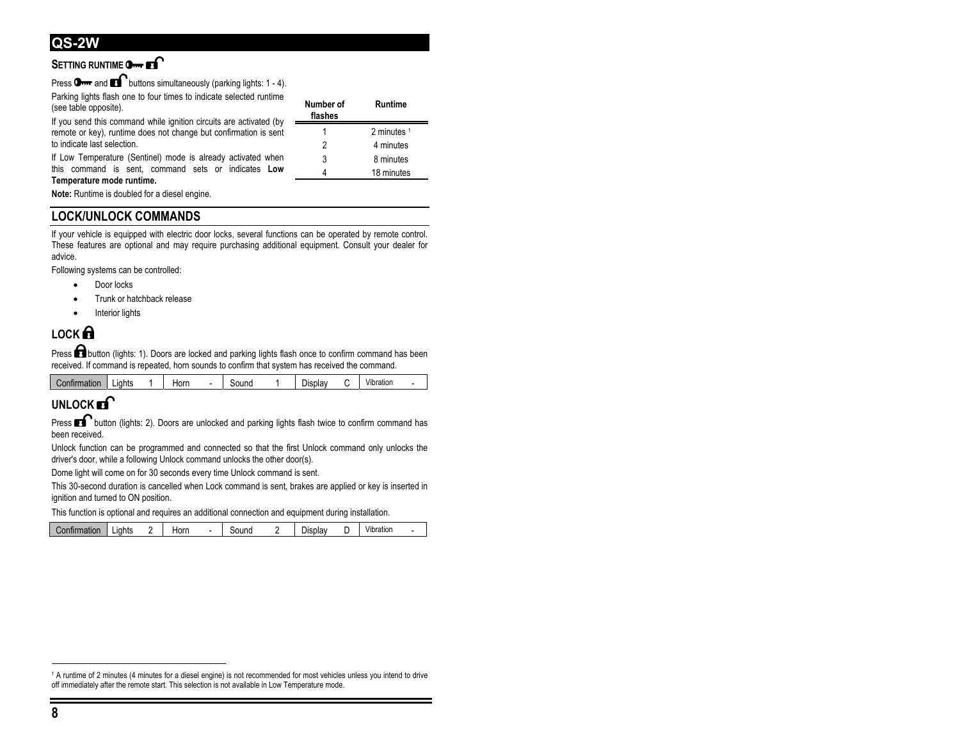## **SETTING RUNTIME** O-**FI**

Press  $\mathbf{O}$  and  $\mathbf{O}$  buttons simultaneously (parking lights: 1 - 4).

Parking lights flash one to four times to indicate selected runtime (see table opposite).

If you send this command while ignition circuits are activated (by remote or key), runtime does not change but confirmation is sent to indicate last selection.

If Low Temperature (Sentinel) mode is already activated when this command is sent, command sets or indicates **Low Temperature mode runtime.** 

| Number of<br>flashes | Runtime     |
|----------------------|-------------|
|                      | 2 minutes 1 |
| 2                    | 4 minutes   |
| 3                    | 8 minutes   |
|                      | 18 minutes  |

**Note:** Runtime is doubled for a diesel engine.

## **LOCK/UNLOCK COMMANDS**

If vour vehicle is equipped with electric door locks, several functions can be operated by remote control. These features are optional and may require purchasing additional equipment. Consult your dealer for advice.

Following systems can be controlled:

- Door locks
- Trunk or hatchback release
- Interior lights

## **LOCK**

Press **button** (lights: 1). Doors are locked and parking lights flash once to confirm command has been received. If command is repeated, horn sounds to confirm that system has received the command.

| miirmation | Lights | Horn | ۰ | sound | $\overline{\phantom{0}}$<br>Jisplav | Vibration |  |
|------------|--------|------|---|-------|-------------------------------------|-----------|--|
|            |        |      |   |       |                                     |           |  |

## **UNLOCK**

Press **button** (lights: 2). Doors are unlocked and parking lights flash twice to confirm command has been received.

Unlock function can be programmed and connected so that the first Unlock command only unlocks the driver's door, while a following Unlock command unlocks the other door(s).

Dome light will come on for 30 seconds every time Unlock command is sent.

This 30-second duration is cancelled when Lock command is sent, brakes are applied or key is inserted in ignition and turned to ON position.

This function is optional and requires an additional connection and equipment during installation.

|  | `onfirmation. | ∟iahts | Horn | sound |  | $\sim$<br>∪splav |  | <br>Vibration |  |
|--|---------------|--------|------|-------|--|------------------|--|---------------|--|
|--|---------------|--------|------|-------|--|------------------|--|---------------|--|

<sup>1</sup> A runtime of 2 minutes (4 minutes for a diesel engine) is not recommended for most vehicles unless you intend to drive off immediately after the remote start. This selection is not available in Low Temperature mode.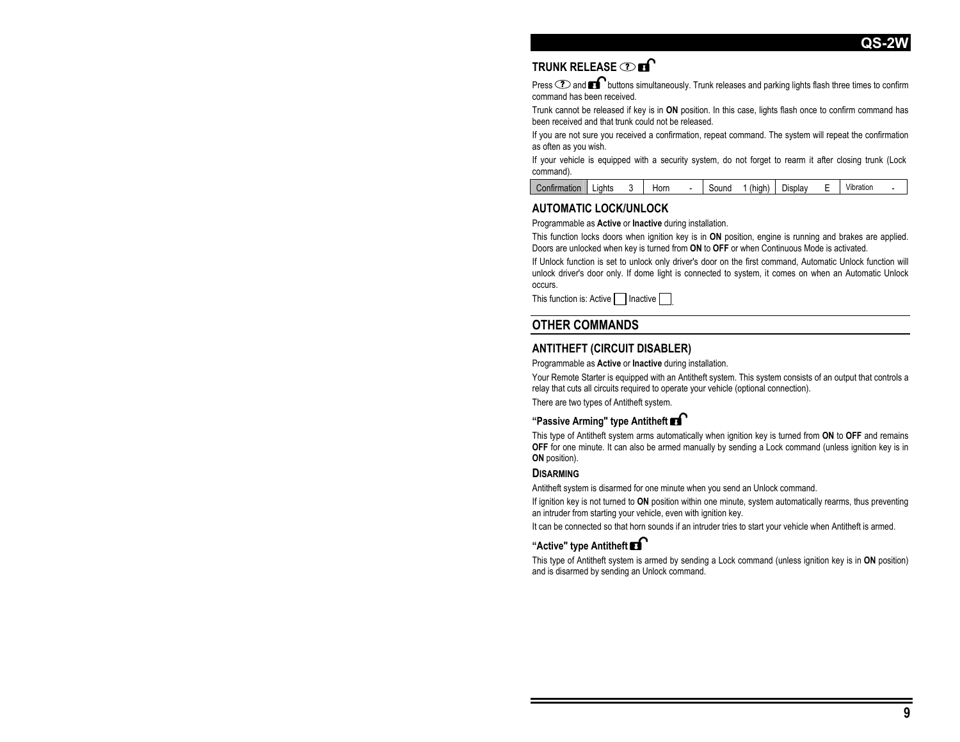## **TRUNK RELEASE ?**

Press  $\odot$  and  $\blacksquare$  buttons simultaneously. Trunk releases and parking lights flash three times to confirm command has been received.

Trunk cannot be released if key is in **ON** position. In this case, lights flash once to confirm command has been received and that trunk could not be released.

If you are not sure you received a confirmation, repeat command. The system will repeat the confirmation as often as you wish.

If your vehicle is equipped with a security system, do not forget to rearm it after closing trunk (Lock command).

| <i>C</i> onfirmation | .iahts | Horn | - | Sound | (hiah | ∪splav | - | $\cdots$<br>Vibratior |  |
|----------------------|--------|------|---|-------|-------|--------|---|-----------------------|--|
|                      |        |      |   |       |       |        |   |                       |  |

#### **AUTOMATIC LOCK/UNLOCK**

Programmable as **Active** or **Inactive** during installation.

This function locks doors when ignition key is in **ON** position, engine is running and brakes are applied. Doors are unlocked when key is turned from **ON** to **OFF** or when Continuous Mode is activated.

If Unlock function is set to unlock only driver's door on the first command, Automatic Unlock function will unlock driver's door only. If dome light is connected to system, it comes on when an Automatic Unlock occurs.

This function is: Active  $\lceil$ Inactive

## **OTHER COMMANDS**

#### **ANTITHEFT (CIRCUIT DISABLER)**

Programmable as **Active** or **Inactive** during installation.

Your Remote Starter is equipped with an Antitheft system. This system consists of an output that controls a relay that cuts all circuits required to operate your vehicle (optional connection).

There are two types of Antitheft system.

#### **"Passive Arming" type Antitheft**

This type of Antitheft system arms automatically when ignition key is turned from **ON** to **OFF** and remains **OFF** for one minute. It can also be armed manually by sending a Lock command (unless ignition key is in **ON** position).

#### **DISARMING**

Antitheft system is disarmed for one minute when you send an Unlock command.

If ignition key is not turned to **ON** position within one minute, system automatically rearms, thus preventing an intruder from starting your vehicle, even with ignition key.

It can be connected so that horn sounds if an intruder tries to start your vehicle when Antitheft is armed.

#### **"Active" type Antitheft**

This type of Antitheft system is armed by sending a Lock command (unless ignition key is in **ON** position) and is disarmed by sending an Unlock command.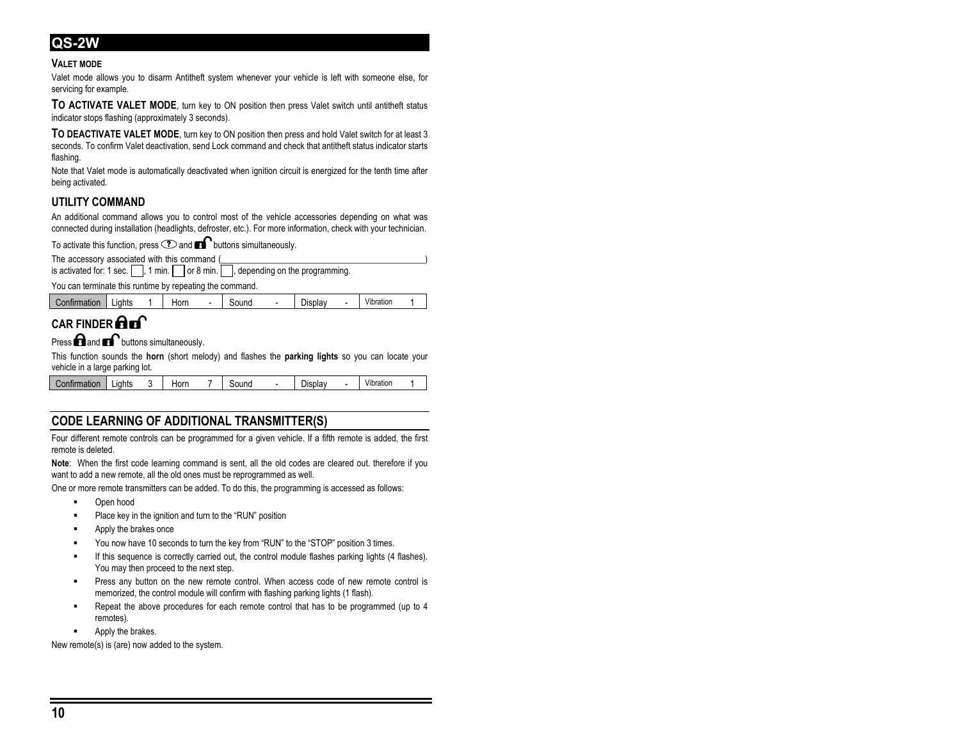#### **VALET MODE**

Valet mode allows you to disarm Antitheft system whenever your vehicle is left with someone else, for servicing for example.

**TO ACTIVATE VALET MODE**, turn key to ON position then press Valet switch until antitheft status indicator stops flashing (approximately 3 seconds).

**TO DEACTIVATE VALET MODE**, turn key to ON position then press and hold Valet switch for at least 3 seconds. To confirm Valet deactivation, send Lock command and check that antitheft status indicator starts flashing.

Note that Valet mode is automatically deactivated when ignition circuit is energized for the tenth time after being activated.

#### **UTILITY COMMAND**

An additional command allows you to control most of the vehicle accessories depending on what was connected during installation (headlights, defroster, etc.). For more information, check with your technician.

To activate this function, press  $\odot$  and  $\bullet$  buttons simultaneously.

The accessory associated with this command (

|  |  |  | is activated for: 1 sec. $\Box$ , 1 min. $\Box$ or 8 min. $\Box$ , depending on the programming. |
|--|--|--|--------------------------------------------------------------------------------------------------|
|--|--|--|--------------------------------------------------------------------------------------------------|

You can terminate this runtime by repeating the command.

| mation | uahts<br>- | Horn | sound | $\overline{\phantom{0}}$<br>$D$ splav | Vibration |  |
|--------|------------|------|-------|---------------------------------------|-----------|--|
|        |            |      |       |                                       |           |  |

# **CAR FINDER Art**

Press  $\bigcap$  and  $\bigcap$  buttons simultaneously.

This function sounds the **horn** (short melody) and flashes the **parking lights** so you can locate your vehicle in a large parking lot.

| Vibration<br>Horn<br>∟iahts<br>sound<br>Confirmation<br>⊃isplav<br>- |
|----------------------------------------------------------------------|
|----------------------------------------------------------------------|

## **CODE LEARNING OF ADDITIONAL TRANSMITTER(S)**

Four different remote controls can be programmed for a given vehicle. If a fifth remote is added, the first remote is deleted.

**Note**: When the first code learning command is sent, all the old codes are cleared out. therefore if you want to add a new remote, all the old ones must be reprogrammed as well.

One or more remote transmitters can be added. To do this, the programming is accessed as follows:

- Open hood
- **Place key in the ignition and turn to the "RUN" position**
- Apply the brakes once
- You now have 10 seconds to turn the key from "RUN" to the "STOP" position 3 times.
- If this sequence is correctly carried out, the control module flashes parking lights (4 flashes). You may then proceed to the next step.
- Press any button on the new remote control. When access code of new remote control is memorized, the control module will confirm with flashing parking lights (1 flash).
- Repeat the above procedures for each remote control that has to be programmed (up to 4 remotes).
	- Apply the brakes.

New remote(s) is (are) now added to the system.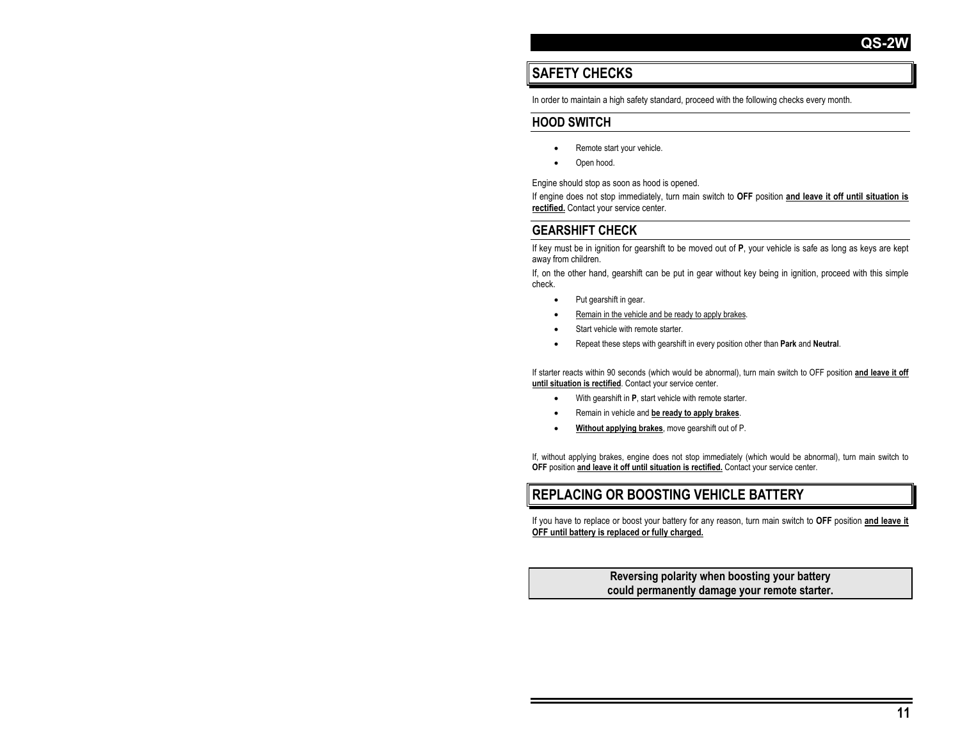# **SAFETY CHECKS**

In order to maintain a high safety standard, proceed with the following checks every month.

## **HOOD SWITCH**

- Remote start your vehicle.
- Open hood.

Engine should stop as soon as hood is opened.

If engine does not stop immediately, turn main switch to **OFF** position **and leave it off until situation is rectified.** Contact your service center.

## **GEARSHIFT CHECK**

If key must be in ignition for gearshift to be moved out of **P**, your vehicle is safe as long as keys are kept away from children.

If, on the other hand, gearshift can be put in gear without key being in ignition, proceed with this simple check.

- Put gearshift in gear.
- Remain in the vehicle and be ready to apply brakes.
- Start vehicle with remote starter.
- Repeat these steps with gearshift in every position other than **Park** and **Neutral**.

If starter reacts within 90 seconds (which would be abnormal), turn main switch to OFF position **and leave it off until situation is rectified**. Contact your service center.

- With gearshift in **P**, start vehicle with remote starter.
- Remain in vehicle and **be ready to apply brakes**.
- **Without applying brakes**, move gearshift out of P.

If, without applying brakes, engine does not stop immediately (which would be abnormal), turn main switch to **OFF** position **and leave it off until situation is rectified.** Contact your service center.

## **REPLACING OR BOOSTING VEHICLE BATTERY**

If you have to replace or boost your battery for any reason, turn main switch to **OFF** position **and leave it OFF until battery is replaced or fully charged.**

#### **Reversing polarity when boosting your battery could permanently damage your remote starter.**